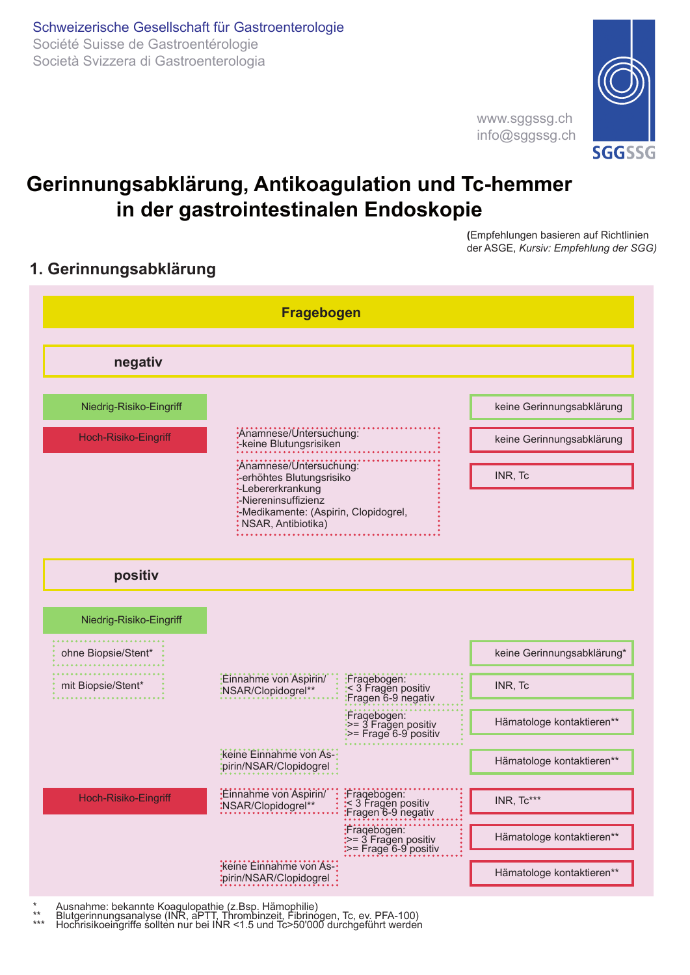

www.sggssg.ch info@sggssg.ch

# **Gerinnungsabklärung, Antikoagulation und Tc-hemmer in der gastrointestinalen Endoskopie**

**(**Empfehlungen basieren auf Richtlinien der ASGE, *Kursiv: Empfehlung der SGG)*

# **1. Gerinnungsabklärung**



Ausnahme: bekannte Koagulopathie (z.Bsp. Hämophilie)<br>Blutgerinnungsanalyse (INR, aPTT, Thrombinzeit, Fibrinogen, Tc, ev. PFA-100)<br>Hochrisikoeingriffe sollten nur bei INR <1.5 und Tc>50'000 durchgeführt werden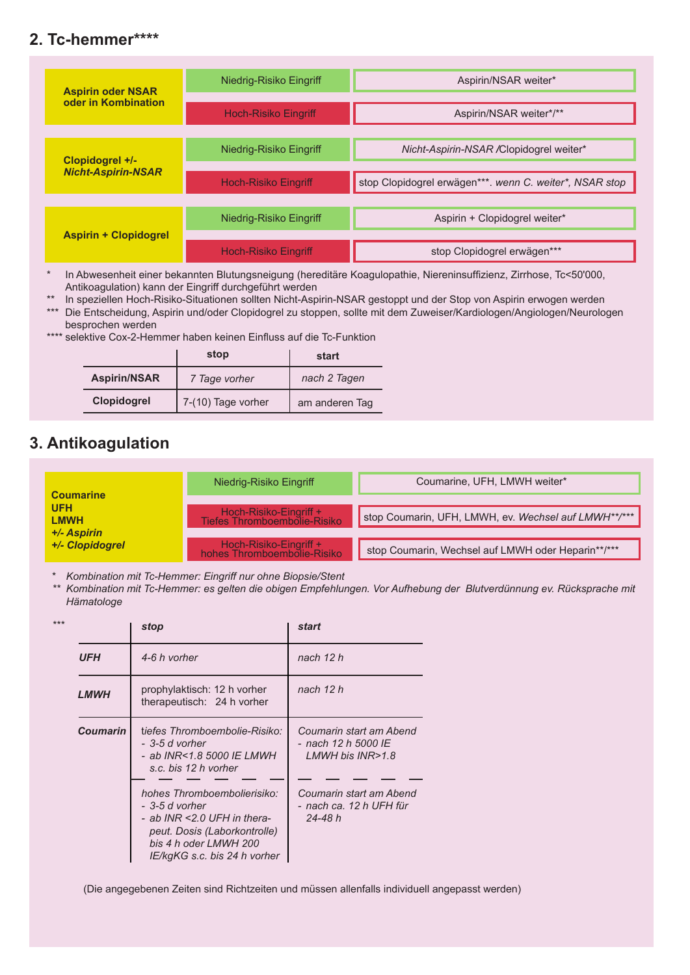# **2. Tc-hemmer\*\*\*\***

| <b>Aspirin oder NSAR</b><br>oder in Kombination | Niedrig-Risiko Eingriff     | Aspirin/NSAR weiter*                                    |
|-------------------------------------------------|-----------------------------|---------------------------------------------------------|
|                                                 | Hoch-Risiko Eingriff        | Aspirin/NSAR weiter*/**                                 |
| Clopidogrel +/-<br><b>Nicht-Aspirin-NSAR</b>    | Niedrig-Risiko Eingriff     | Nicht-Aspirin-NSAR / Clopidogrel weiter*                |
|                                                 | <b>Hoch-Risiko Eingriff</b> | stop Clopidogrel erwägen***. wenn C. weiter*, NSAR stop |
| <b>Aspirin + Clopidogrel</b>                    | Niedrig-Risiko Eingriff     | Aspirin + Clopidogrel weiter*                           |
|                                                 | <b>Hoch-Risiko Eingriff</b> | stop Clopidogrel erwägen***                             |

\* In Abwesenheit einer bekannten Blutungsneigung (hereditäre Koagulopathie, Niereninsuffizienz, Zirrhose, Tc<50'000, Antikoagulation) kann der Eingriff durchgeführt werden

\*\* In speziellen Hoch-Risiko-Situationen sollten Nicht-Aspirin-NSAR gestoppt und der Stop von Aspirin erwogen werden

\*\*\* Die Entscheidung, Aspirin und/oder Clopidogrel zu stoppen, sollte mit dem Zuweiser/Kardiologen/Angiologen/Neurologen besprochen werden

\*\*\*\* selektive Cox-2-Hemmer haben keinen Einfluss auf die Tc-Funktion

|                     | stop               | start          |
|---------------------|--------------------|----------------|
| <b>Aspirin/NSAR</b> | 7 Tage vorher      | nach 2 Tagen   |
| Clopidogrel         | 7-(10) Tage vorher | am anderen Tag |

# **3. Antikoagulation**

|                           | Niedrig-Risiko Eingriff                                | Coumarine, UFH, LMWH weiter*                         |  |
|---------------------------|--------------------------------------------------------|------------------------------------------------------|--|
| <b>Coumarine</b>          |                                                        |                                                      |  |
| <b>UFH</b><br><b>LMWH</b> | Hoch-Risiko-Eingriff +<br>Tiefes Thromboembolie-Risiko | stop Coumarin, UFH, LMWH, ev. Wechsel auf LMWH**/*** |  |
| +/- Aspirin               |                                                        |                                                      |  |
| +/- Clopidogrel           | Hoch-Risiko-Eingriff +<br>hohes Thromboembolie-Risiko  | stop Coumarin, Wechsel auf LMWH oder Heparin**/***   |  |

\* *Kombination mit Tc-Hemmer: Eingriff nur ohne Biopsie/Stent* 

*\*\* Kombination mit Tc-Hemmer: es gelten die obigen Empfehlungen. Vor Aufhebung der Blutverdünnung ev. Rücksprache mit Hämatologe*

|                 | stop                                                                                                                                                                     | start                                                              |
|-----------------|--------------------------------------------------------------------------------------------------------------------------------------------------------------------------|--------------------------------------------------------------------|
| <b>UFH</b>      | 4-6 h vorher                                                                                                                                                             | nach 12 h                                                          |
| <b>LMWH</b>     | prophylaktisch: 12 h vorher<br>therapeutisch: 24 h vorher                                                                                                                | nach 12 h                                                          |
| <b>Coumarin</b> | tiefes Thromboembolie-Risiko:<br>- 3-5 d vorher<br>- ab INR<1.8 5000 IE LMWH<br>s.c. bis 12 h vorher                                                                     | Coumarin start am Abend<br>- nach 12 h 5000 IE<br>LMWH bis INR>1.8 |
|                 | hohes Thromboembolierisiko:<br>- 3-5 d vorher<br>- ab INR < $2.0$ UFH in thera-<br>peut. Dosis (Laborkontrolle)<br>bis 4 h oder LMWH 200<br>IE/kgKG s.c. bis 24 h vorher | Coumarin start am Abend<br>- nach ca. 12 h UFH für<br>24-48 h      |

(Die angegebenen Zeiten sind Richtzeiten und müssen allenfalls individuell angepasst werden)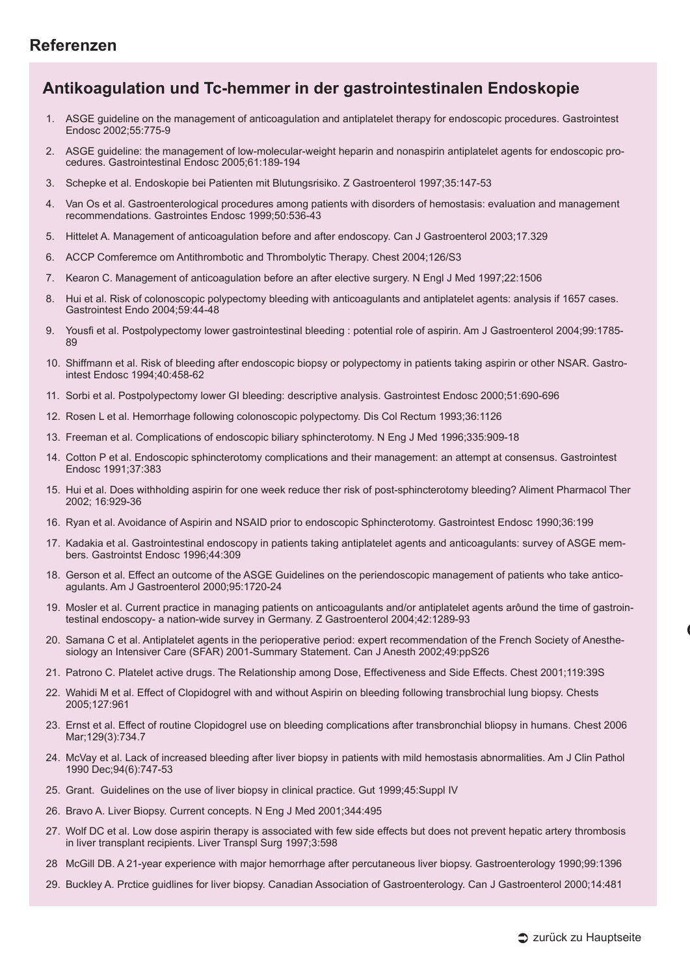## **Referenzen**

## **Antikoagulation und Tc-hemmer in der gastrointestinalen Endoskopie**

- 1. ASGE guideline on the management of anticoagulation and antiplatelet therapy for endoscopic procedures. Gastrointest Endosc 2002;55:775-9
- 2. ASGE guideline: the management of low-molecular-weight heparin and nonaspirin antiplatelet agents for endoscopic procedures. Gastrointestinal Endosc 2005;61:189-194
- 3. Schepke et al. Endoskopie bei Patienten mit Blutungsrisiko. Z Gastroenterol 1997;35:147-53
- Van Os et al. Gastroenterological procedures among patients with disorders of hemostasis: evaluation and management recommendations. Gastrointes Endosc 1999;50:536-43
- 5. Hittelet A. Management of anticoagulation before and after endoscopy. Can J Gastroenterol 2003;17.329
- 6. ACCP Comferemce om Antithrombotic and Thrombolytic Therapy. Chest 2004;126/S3
- 7. Kearon C. Management of anticoagulation before an after elective surgery. N Engl J Med 1997;22:1506
- 8. Hui et al. Risk of colonoscopic polypectomy bleeding with anticoagulants and antiplatelet agents: analysis if 1657 cases. Gastrointest Endo 2004;59:44-48
- 9. Yousfi et al. Postpolypectomy lower gastrointestinal bleeding : potential role of aspirin. Am J Gastroenterol 2004;99:1785- 89
- 10. Shiffmann et al. Risk of bleeding after endoscopic biopsy or polypectomy in patients taking aspirin or other NSAR. Gastrointest Endosc 1994;40:458-62
- 11. Sorbi et al. Postpolypectomy lower GI bleeding: descriptive analysis. Gastrointest Endosc 2000;51:690-696
- 12. Rosen L et al. Hemorrhage following colonoscopic polypectomy. Dis Col Rectum 1993;36:1126
- 13. Freeman et al. Complications of endoscopic biliary sphincterotomy. N Eng J Med 1996;335:909-18
- 14. Cotton P et al. Endoscopic sphincterotomy complications and their management: an attempt at consensus. Gastrointest Endosc 1991;37:383
- 15. Hui et al. Does withholding aspirin for one week reduce ther risk of post-sphincterotomy bleeding? Aliment Pharmacol Ther 2002; 16:929-36
- 16. Ryan et al. Avoidance of Aspirin and NSAID prior to endoscopic Sphincterotomy. Gastrointest Endosc 1990;36:199
- 17. Kadakia et al. Gastrointestinal endoscopy in patients taking antiplatelet agents and anticoagulants: survey of ASGE members. Gastrointst Endosc 1996;44:309
- 18. Gerson et al. Effect an outcome of the ASGE Guidelines on the periendoscopic management of patients who take anticoagulants. Am J Gastroenterol 2000;95:1720-24
- 19. Mosler et al. Current practice in managing patients on anticoagulants and/or antiplatelet agents arôund the time of gastrointestinal endoscopy- a nation-wide survey in Germany. Z Gastroenterol 2004;42:1289-93
- 20. Samana C et al. Antiplatelet agents in the perioperative period: expert recommendation of the French Society of Anesthesiology an Intensiver Care (SFAR) 2001-Summary Statement. Can J Anesth 2002;49:ppS26
- 21. Patrono C. Platelet active drugs. The Relationship among Dose, Effectiveness and Side Effects. Chest 2001;119:39S
- 22. Wahidi M et al. Effect of Clopidogrel with and without Aspirin on bleeding following transbrochial lung biopsy. Chests 2005;127:961
- 23. Ernst et al. Effect of routine Clopidogrel use on bleeding complications after transbronchial bliopsy in humans. Chest 2006 Mar;129(3):734.7
- 24. McVay et al. Lack of increased bleeding after liver biopsy in patients with mild hemostasis abnormalities. Am J Clin Pathol 1990 Dec;94(6):747-53
- 25. Grant. Guidelines on the use of liver biopsy in clinical practice. Gut 1999;45:Suppl IV
- 26. Bravo A. Liver Biopsy. Current concepts. N Eng J Med 2001;344:495
- 27. Wolf DC et al. Low dose aspirin therapy is associated with few side effects but does not prevent hepatic artery thrombosis in liver transplant recipients. Liver Transpl Surg 1997;3:598
- 28 McGill DB. A 21-year experience with major hemorrhage after percutaneous liver biopsy. Gastroenterology 1990;99:1396
- 29. Buckley A. Prctice guidlines for liver biopsy. Canadian Association of Gastroenterology. Can J Gastroenterol 2000;14:481

**Gerinnungs-Labor vor gastrointestinaler Endoskopie**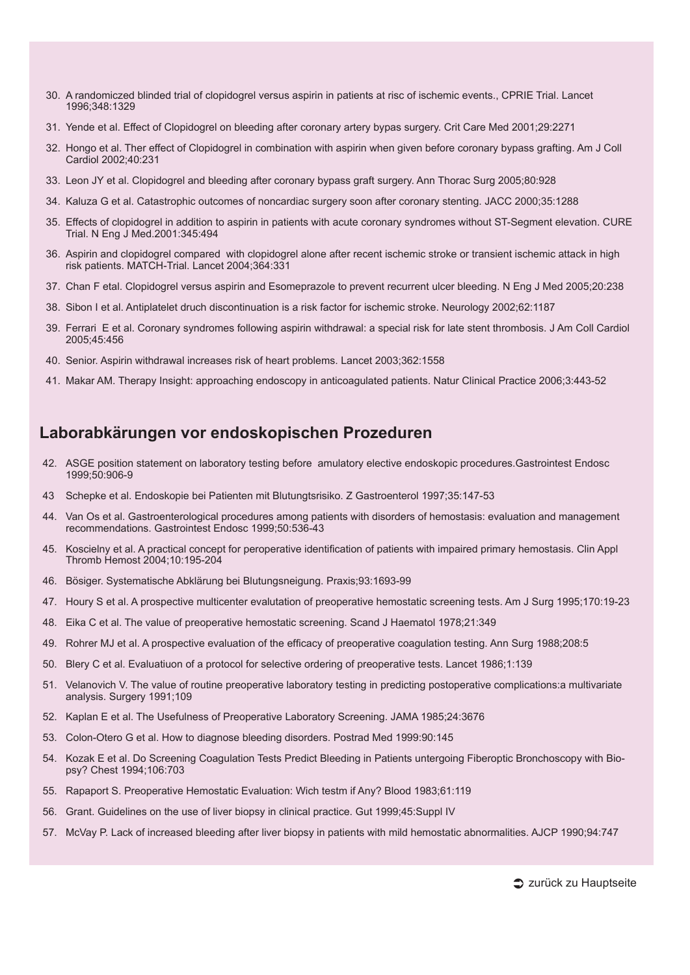- 30. A randomiczed blinded trial of clopidogrel versus aspirin in patients at risc of ischemic events., CPRIE Trial. Lancet 1996;348:1329
- 31. Yende et al. Effect of Clopidogrel on bleeding after coronary artery bypas surgery. Crit Care Med 2001;29:2271
- 32. Hongo et al. Ther effect of Clopidogrel in combination with aspirin when given before coronary bypass grafting. Am J Coll Cardiol 2002;40:231
- 33. Leon JY et al. Clopidogrel and bleeding after coronary bypass graft surgery. Ann Thorac Surg 2005;80:928
- 34. Kaluza G et al. Catastrophic outcomes of noncardiac surgery soon after coronary stenting. JACC 2000;35:1288
- 35. Effects of clopidogrel in addition to aspirin in patients with acute coronary syndromes without ST-Segment elevation. CURE Trial. N Eng J Med.2001:345:494
- 36. Aspirin and clopidogrel compared with clopidogrel alone after recent ischemic stroke or transient ischemic attack in high risk patients. MATCH-Trial. Lancet 2004;364:331
- 37. Chan F etal. Clopidogrel versus aspirin and Esomeprazole to prevent recurrent ulcer bleeding. N Eng J Med 2005;20:238
- 38. Sibon I et al. Antiplatelet druch discontinuation is a risk factor for ischemic stroke. Neurology 2002;62:1187
- 39. Ferrari E et al. Coronary syndromes following aspirin withdrawal: a special risk for late stent thrombosis. J Am Coll Cardiol 2005;45:456
- 40. Senior. Aspirin withdrawal increases risk of heart problems. Lancet 2003;362:1558
- 41. Makar AM. Therapy Insight: approaching endoscopy in anticoagulated patients. Natur Clinical Practice 2006;3:443-52

### **Laborabkärungen vor endoskopischen Prozeduren**

- 42. ASGE position statement on laboratory testing before amulatory elective endoskopic procedures.Gastrointest Endosc 1999;50:906-9
- 43 Schepke et al. Endoskopie bei Patienten mit Blutungtsrisiko. Z Gastroenterol 1997;35:147-53
- 44. Van Os et al. Gastroenterological procedures among patients with disorders of hemostasis: evaluation and management recommendations. Gastrointest Endosc 1999;50:536-43
- 45. Koscielny et al. A practical concept for peroperative identification of patients with impaired primary hemostasis. Clin Appl Thromb Hemost 2004;10:195-204
- 46. Bösiger. Systematische Abklärung bei Blutungsneigung. Praxis;93:1693-99
- 47. Houry S et al. A prospective multicenter evalutation of preoperative hemostatic screening tests. Am J Surg 1995;170:19-23
- 48. Eika C et al. The value of preoperative hemostatic screening. Scand J Haematol 1978;21:349
- 49. Rohrer MJ et al. A prospective evaluation of the efficacy of preoperative coagulation testing. Ann Surg 1988;208:5
- 50. Blery C et al. Evaluatiuon of a protocol for selective ordering of preoperative tests. Lancet 1986;1:139
- 51. Velanovich V. The value of routine preoperative laboratory testing in predicting postoperative complications:a multivariate analysis. Surgery 1991;109
- 52. Kaplan E et al. The Usefulness of Preoperative Laboratory Screening. JAMA 1985;24:3676
- 53. Colon-Otero G et al. How to diagnose bleeding disorders. Postrad Med 1999:90:145
- 54. Kozak E et al. Do Screening Coagulation Tests Predict Bleeding in Patients untergoing Fiberoptic Bronchoscopy with Biopsy? Chest 1994;106:703
- 55. Rapaport S. Preoperative Hemostatic Evaluation: Wich testm if Any? Blood 1983;61:119
- 56. Grant. Guidelines on the use of liver biopsy in clinical practice. Gut 1999;45:Suppl IV
- 57. McVay P. Lack of increased bleeding after liver biopsy in patients with mild hemostatic abnormalities. AJCP 1990;94:747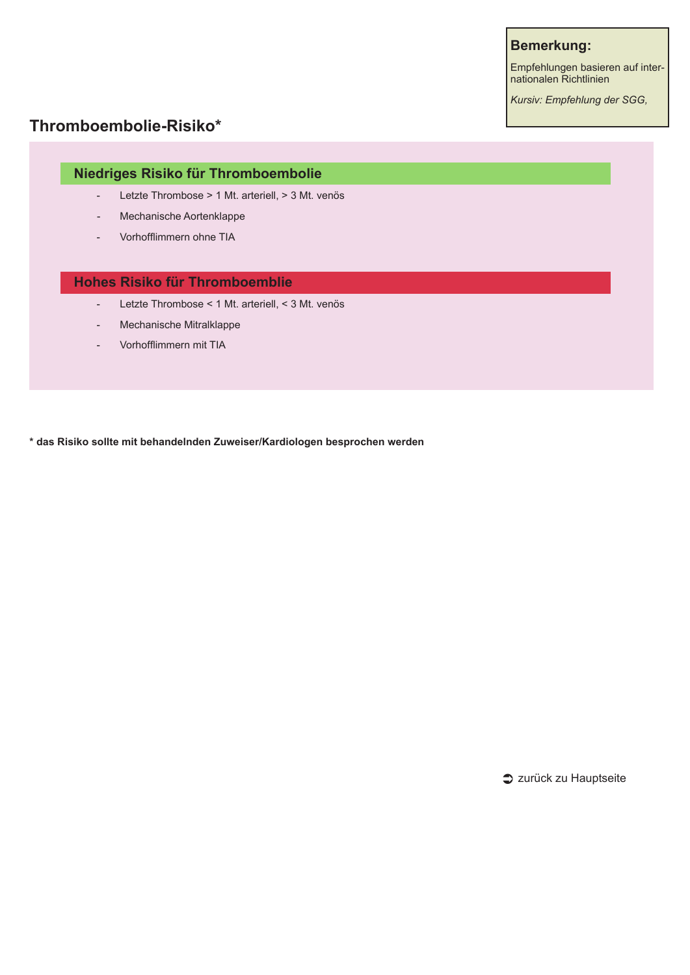#### **Bemerkung:**

Empfehlungen basieren auf internationalen Richtlinien

*Kursiv: Empfehlung der SGG,* 

# **Thromboembolie-Risiko\***

### **Niedriges Risiko für Thromboembolie**

- Letzte Thrombose > 1 Mt. arteriell, > 3 Mt. venös
- Mechanische Aortenklappe
- Vorhofflimmern ohne TIA

#### **Hohes Risiko für Thromboemblie**

- Letzte Thrombose < 1 Mt. arteriell, < 3 Mt. venös
- Mechanische Mitralklappe
- Vorhofflimmern mit TIA

**\* das Risiko sollte mit behandelnden Zuweiser/Kardiologen besprochen werden**

zurück zu Hauptseite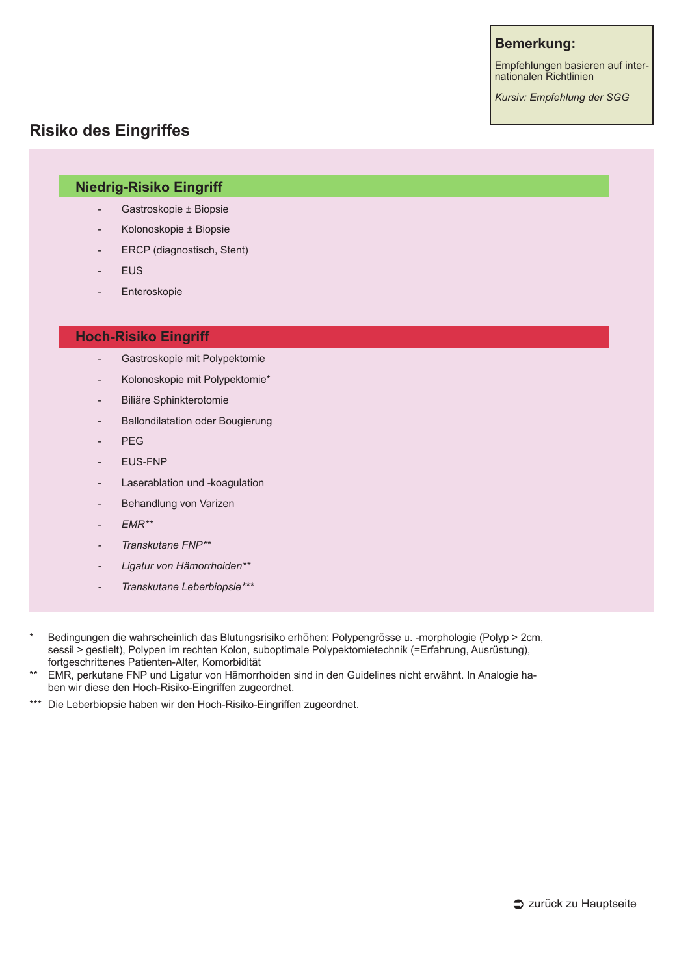#### **Bemerkung:**

Empfehlungen basieren auf internationalen Richtlinien

*Kursiv: Empfehlung der SGG* 

### **Risiko des Eingriffes**

#### **Niedrig-Risiko Eingriff**

- Gastroskopie ± Biopsie
- Kolonoskopie ± Biopsie
- ERCP (diagnostisch, Stent)
- **FUS**
- **Enteroskopie**

#### **Hoch-Risiko Eingriff**

- Gastroskopie mit Polypektomie
- Kolonoskopie mit Polypektomie\*
- Biliäre Sphinkterotomie
- Ballondilatation oder Bougierung
- PEG
- EUS-FNP
- Laserablation und -koagulation
- Behandlung von Varizen
- *EMR\*\**
- *- Transkutane FNP\*\**
- *- Ligatur von Hämorrhoiden\*\**
- *- Transkutane Leberbiopsie\*\*\**
- \* Bedingungen die wahrscheinlich das Blutungsrisiko erhöhen: Polypengrösse u. -morphologie (Polyp > 2cm, sessil > gestielt), Polypen im rechten Kolon, suboptimale Polypektomietechnik (=Erfahrung, Ausrüstung), fortgeschrittenes Patienten-Alter, Komorbidität
- \*\* EMR, perkutane FNP und Ligatur von Hämorrhoiden sind in den Guidelines nicht erwähnt. In Analogie haben wir diese den Hoch-Risiko-Eingriffen zugeordnet.
- \*\*\* Die Leberbiopsie haben wir den Hoch-Risiko-Eingriffen zugeordnet.